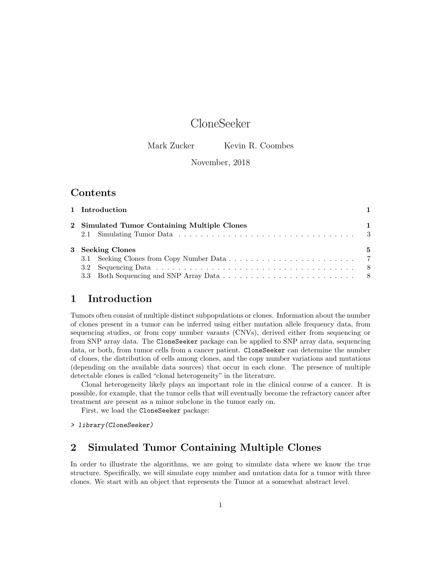# CloneSeeker

Mark Zucker Kevin R. Coombes

#### November, 2018

### Contents

| 1 Introduction                               |   |
|----------------------------------------------|---|
| 2 Simulated Tumor Containing Multiple Clones |   |
| 3 Seeking Clones                             | 5 |

### 1 Introduction

Tumors often consist of multiple distinct subpopulations or clones. Information about the number of clones present in a tumor can be inferred using either mutation allele frequency data, from sequencing studies, or from copy number varants (CNVs), derived either from sequencing or from SNP array data. The CloneSeeker package can be applied to SNP array data, sequencing data, or both, from tumor cells from a cancer patient. CloneSeeker can determine the number of clones, the distribution of cells among clones, and the copy number variations and mutations (depending on the available data sources) that occur in each clone. The presence of multiple detectable clones is called "clonal heterogeneity" in the literature.

Clonal heterogeneity likely plays an important role in the clinical course of a cancer. It is possible, for example, that the tumor cells that will eventually become the refractory cancer after treatment are present as a minor subclone in the tumor early on.

First, we load the CloneSeeker package:

> library(CloneSeeker)

### 2 Simulated Tumor Containing Multiple Clones

In order to illustrate the algorithms, we are going to simulate data where we know the true structure. Specifically, we will simulate copy number and mutation data for a tumor with three clones. We start with an object that represents the Tumor at a somewhat abstract level.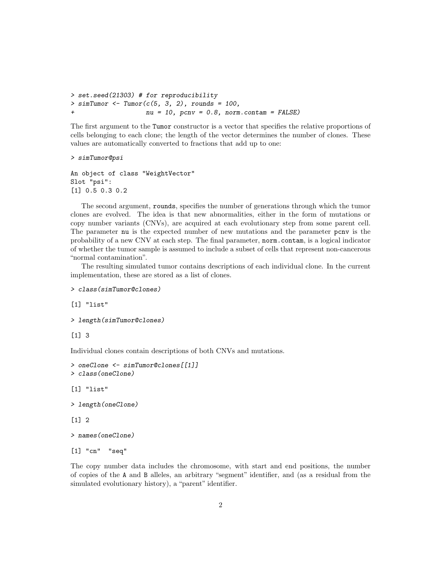```
> set.seed(21303) # for reproducibility
> simTumor <- Tumor(c(5, 3, 2), rounds = 100,
                    nu = 10, pcnv = 0.8, norm.contam = FALSE)
```
The first argument to the Tumor constructor is a vector that specifies the relative proportions of cells belonging to each clone; the length of the vector determines the number of clones. These values are automatically converted to fractions that add up to one:

```
> simTumor@psi
```

```
An object of class "WeightVector"
Slot "psi":
[1] 0.5 0.3 0.2
```
The second argument, rounds, specifies the number of generations through which the tumor clones are evolved. The idea is that new abnormalities, either in the form of mutations or copy number variants (CNVs), are acquired at each evolutionary step from some parent cell. The parameter nu is the expected number of new mutations and the parameter pcnv is the probability of a new CNV at each step. The final parameter, norm.contam, is a logical indicator of whether the tumor sample is assumed to include a subset of cells that represent non-cancerous "normal contamination".

The resulting simulated tumor contains descriptions of each individual clone. In the current implementation, these are stored as a list of clones.

```
> class(simTumor@clones)
```
[1] "list"

```
> length(simTumor@clones)
```
[1] 3

Individual clones contain descriptions of both CNVs and mutations.

```
> oneClone <- simTumor@clones[[1]]
> class(oneClone)
[1] "list"
> length(oneClone)
```
[1] 2

```
> names(oneClone)
```

```
[1] "cn" "seq"
```
The copy number data includes the chromosome, with start and end positions, the number of copies of the A and B alleles, an arbitrary "segment" identifier, and (as a residual from the simulated evolutionary history), a "parent" identifier.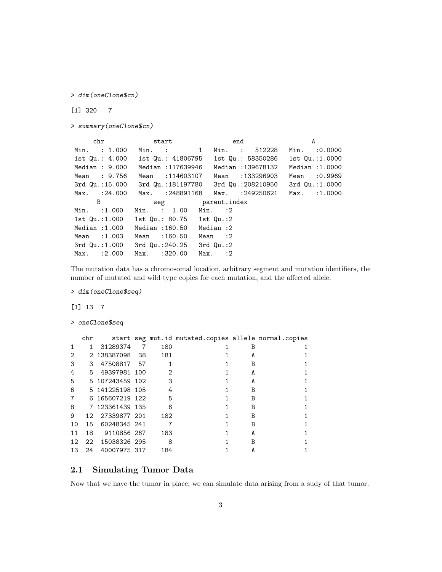> dim(oneClone\$cn)

[1] 320 7

> summary(oneClone\$cn)

chr start end A Min. : 1.000 Min. : 1 Min. : 512228 Min. :0.0000 1st Qu.: 4.000 1st Qu.: 41806795 1st Qu.: 58350286 1st Qu.:1.0000 Median : 9.000 Median :117639946 Median :139678132 Median :1.0000 Mean : 9.756 Mean :114603107 Mean :133296903 Mean :0.9969 3rd Qu.:15.000 3rd Qu.:181197780 3rd Qu.:208210950 3rd Qu.:1.0000 Max. :24.000 Max. :248891168 Max. :249250621 Max. :1.0000 B seg parent.index Min. :1.000 Min. : 1.00 Min. :2 1st Qu.:1.000 1st Qu.: 80.75 1st Qu.:2 Median :1.000 Median :160.50 Median :2 Mean :1.003 Mean :160.50 Mean :2 3rd Qu.:1.000 3rd Qu.:240.25 3rd Qu.:2 Max. :2.000 Max. :320.00 Max. :2

The mutation data has a chromosomal location, arbitrary segment and mutation identifiers, the number of mutated and wild type copies for each mutation, and the affected allele.

> dim(oneClone\$seq)

[1] 13 7

> oneClone\$seq

|                | chr |                 |                |     | start seg mut.id mutated.copies allele normal.copies |   |  |
|----------------|-----|-----------------|----------------|-----|------------------------------------------------------|---|--|
| $\mathbf{1}$   | 1   | 31289374        | $\overline{7}$ | 180 |                                                      | В |  |
| 2              |     | 2 138387098 38  |                | 181 |                                                      | A |  |
| 3              | 3   | 47508817 57     |                | 1   |                                                      | B |  |
| 4              | 5.  | 49397981 100    |                | 2   |                                                      | A |  |
| 5              |     | 5 107243459 102 |                | - 3 |                                                      | A |  |
| 6              |     | 5 141225198 105 |                | 4   |                                                      | B |  |
| $\overline{7}$ |     | 6 165607219 122 |                | -5  |                                                      | B |  |
| 8              |     | 7 123361439 135 |                | - 6 |                                                      | B |  |
| 9              |     | 12 27339877 201 |                | 182 |                                                      | B |  |
| 10             | 15  | 60248345 241    |                |     |                                                      | B |  |
| 11             | 18  | 9110856 267     |                | 183 |                                                      | A |  |
| 12             |     | 22 15038326 295 |                | - 8 |                                                      | B |  |
| 13             | 24  | 40007975 317    |                | 184 |                                                      |   |  |

#### 2.1 Simulating Tumor Data

Now that we have the tumor in place, we can simulate data arising from a sudy of that tumor.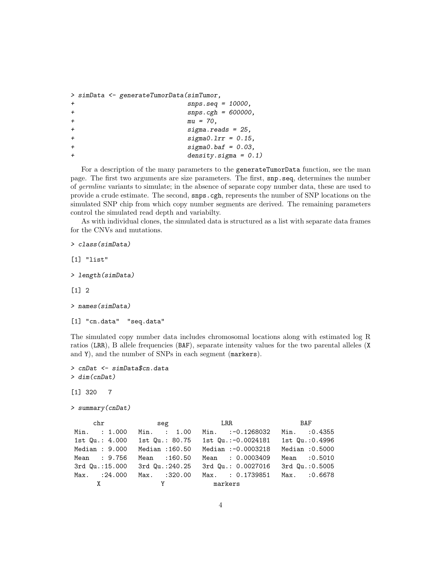```
> simData <- generateTumorData(simTumor,
+ snps.seq = 10000,
+ snps.cgh = 600000,
+mu = 70,+ sigma.reads = 25,
+ sigma0.lrr = 0.15,
+ sigma0.baf = 0.03,
+ density.sigma = 0.1)
```
For a description of the many parameters to the generateTumorData function, see the man page. The first two arguments are size parameters. The first, snp.seq, determines the number of germline variants to simulate; in the absence of separate copy number data, these are used to provide a crude estimate. The second, snps.cgh, represents the number of SNP locations on the simulated SNP chip from which copy number segments are derived. The remaining parameters control the simulated read depth and variabilty.

As with individual clones, the simulated data is structured as a list with separate data frames for the CNVs and mutations.

> class(simData) [1] "list" > length(simData) [1] 2

```
> names(simData)
```

```
[1] "cn.data" "seq.data"
```
The simulated copy number data includes chromosomal locations along with estimated log R ratios (LRR), B allele frequencies (BAF), separate intensity values for the two parental alleles (X and Y), and the number of SNPs in each segment (markers).

> cnDat <- simData\$cn.data > dim(cnDat) [1] 320 7

```
> summary(cnDat)
```

|                 |                               | chr seg LRR         | BAF             |
|-----------------|-------------------------------|---------------------|-----------------|
| Min. : 1.000    | Min. : 1.00                   | Min. $:-0.1268032$  | $Min.$ : 0.4355 |
| 1st Qu.: 4.000  | 1st Qu.: 80.75                | 1st Qu.:-0.0024181  | 1st Qu.:0.4996  |
| Median: 9.000   | Median : 160.50               | Median :- 0.0003218 | Median : 0.5000 |
| Mean : 9.756    | Mean : 160.50                 | Mean : 0.0003409    | Mean : 0.5010   |
| 3rd Qu.:15.000  | 3rd Qu.: 240.25               | 3rd Qu.: 0.0027016  | 3rd Qu.: 0.5005 |
| $Max.$ : 24.000 | $Max.$ :320.00                | Max. : 0.1739851    | Max. : 0.6678   |
|                 | $\mathbf{X}$ and $\mathbf{Y}$ | markers             |                 |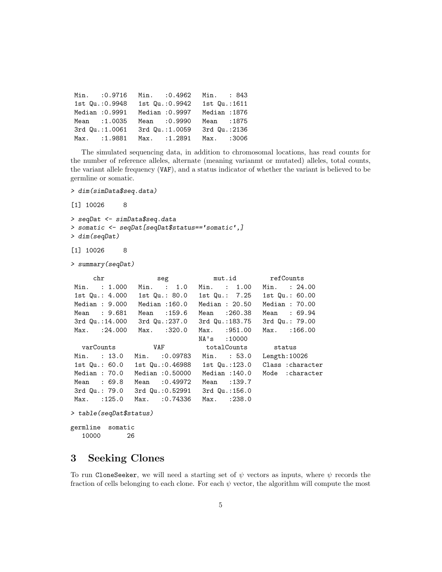| Min. : 0.9716   | Min. : 0.4962 Min. : 843 |               |  |
|-----------------|--------------------------|---------------|--|
| 1st Qu.: 0.9948 | 1st Qu.: 0.9942          | 1st Qu.: 1611 |  |
| Median : 0.9991 | Median : 0.9997          | Median: 1876  |  |
| Mean : 1.0035   | Mean : 0.9990            | Mean : 1875   |  |
| 3rd Qu.:1.0061  | 3rd Qu.:1.0059           | 3rd Qu.: 2136 |  |
| Max. :1.9881    | Max. :1.2891             | Max. :3006    |  |

The simulated sequencing data, in addition to chromosomal locations, has read counts for the number of reference alleles, alternate (meaning varianmt or mutated) alleles, total counts, the variant allele frequency (VAF), and a status indicator of whether the variant is believed to be germline or somatic.

```
> dim(simData$seq.data)
```
[1] 10026 8

```
> seqDat <- simData$seq.data
> somatic <- seqDat[seqDat$status=='somatic',]
> dim(seqDat)
```

```
[1] 10026 8
```

```
> summary(seqDat)
```

| chr               | seg             | mut.id refCounts                |                   |  |
|-------------------|-----------------|---------------------------------|-------------------|--|
| Min. : 1.000      | $Min.$ : 1.0    | Min. : 1.00                     | Min. : 24.00      |  |
| 1st Qu.: 4.000    | 1st Qu.: 80.0   | 1st Qu.: 7.25                   | 1st $Qu.: 60.00$  |  |
| Median: 9.000     | Median : 160.0  | Median: 20.50                   | Median: $70.00$   |  |
| Mean : 9.681      | Mean : 159.6    | Mean :260.38                    | Mean : 69.94      |  |
| 3rd Qu.:14.000    | 3rd Qu.:237.0   | 3rd Qu.:183.75                  | 3rd Qu.: 79.00    |  |
| $Max.$ : $24.000$ | Max. :320.0     | Max. : 951.00                   | $Max.$ : 166.00   |  |
|                   |                 | NA's :10000                     |                   |  |
|                   |                 |                                 |                   |  |
|                   |                 |                                 |                   |  |
| Min. : 13.0       | Min. : 0.09783  | Min. : 53.0                     | Length:10026      |  |
| 1st $Qu.: 60.0$   |                 | 1st Qu.: 0.46988 1st Qu.: 123.0 | Class : character |  |
| Median: $70.0$    | Median :0.50000 | Median : 140.0                  | Mode : character  |  |
| Mean : 69.8       | Mean : 0.49972  | Mean : 139.7                    |                   |  |
| 3rd Qu.: 79.0     | 3rd Qu.:0.52991 | 3rd Qu.:156.0                   |                   |  |
| $Max.$ : 125.0    | Max. : 0.74336  | Max. : 238.0                    |                   |  |

```
> table(seqDat$status)
```

```
germline somatic
```
10000 26

## 3 Seeking Clones

To run CloneSeeker, we will need a starting set of  $\psi$  vectors as inputs, where  $\psi$  records the fraction of cells belonging to each clone. For each  $\psi$  vector, the algorithm will compute the most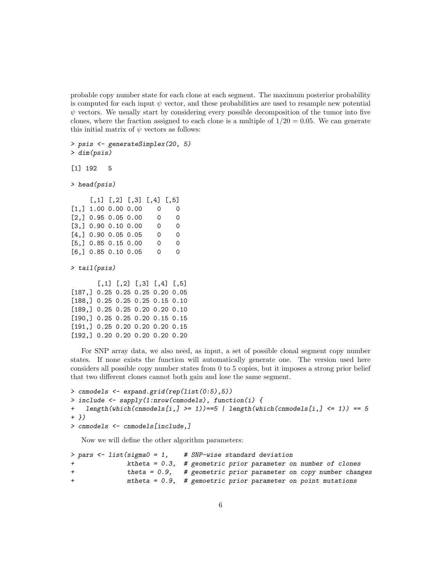probable copy number state for each clone at each segment. The maximum posterior probability is computed for each input  $\psi$  vector, and these probabilities are used to resample new potential  $\psi$  vectors. We usually start by considering every possible decomposition of the tumor into five clones, where the fraction assigned to each clone is a multiple of  $1/20 = 0.05$ . We can generate this initial matrix of  $\psi$  vectors as follows:

```
> psis <- generateSimplex(20, 5)
> dim(psis)
```
[1] 192 5

> head(psis)

|                       | $[0,1]$ $[0,2]$ $[0,3]$ $[0,4]$ $[0,5]$ |          |          |
|-----------------------|-----------------------------------------|----------|----------|
| [1,] 1.00 0.00 0.00   |                                         | 0        | 0        |
| $[2,]$ 0.95 0.05 0.00 |                                         | $\Omega$ | $\Omega$ |
| [3,] 0.90 0.10 0.00   |                                         | 0        | 0        |
| $[4,]$ 0.90 0.05 0.05 |                                         | 0        | 0        |
| $[5,]$ 0.85 0.15 0.00 |                                         | 0        | 0        |
| $[6,]$ 0.85 0.10 0.05 |                                         | 0        | 0        |

> tail(psis)

 $[$ ,1]  $[$ ,2]  $[$ ,3]  $[$ ,4]  $[$ ,5] [187,] 0.25 0.25 0.25 0.20 0.05 [188,] 0.25 0.25 0.25 0.15 0.10 [189,] 0.25 0.25 0.20 0.20 0.10 [190,] 0.25 0.25 0.20 0.15 0.15 [191,] 0.25 0.20 0.20 0.20 0.15 [192,] 0.20 0.20 0.20 0.20 0.20

For SNP array data, we also need, as input, a set of possible clonal segment copy number states. If none exists the function will automatically generate one. The version used here considers all possible copy number states from 0 to 5 copies, but it imposes a strong prior belief that two different clones cannot both gain and lose the same segment.

```
> cnmodels <- expand.grid(rep(list(0:5),5))
> include <- sapply(1:nrow(cnmodels), function(i) {
+ length(which(cnmodels[i,] >= 1))==5 | length(which(cnmodels[i,] <= 1)) == 5
+ })
> cnmodels <- cnmodels[include,]
```
Now we will define the other algorithm parameters:

```
> pars <- list(sigma0 = 1, # SNP-wise standard deviation
             ktheta = 0.3, # geometric prior parameter on number of clones
+ theta = 0.9, # geometric prior parameter on copy number changes
+ mtheta = 0.9, # gemoetric prior parameter on point mutations
```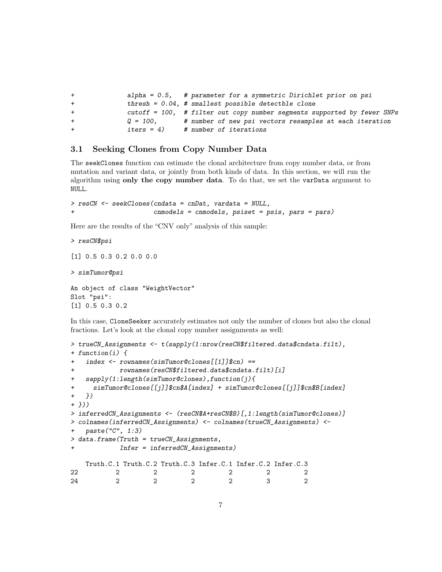| $+$ |             | alpha = $0.5$ , # parameter for a symmetric Dirichlet prior on psi         |
|-----|-------------|----------------------------------------------------------------------------|
| $+$ |             | thresh = $0.04$ , # smallest possible detectble clone                      |
| $+$ |             | $cutoff = 100$ , # filter out copy number segments supported by fewer SNPs |
| $+$ | O = 100.    | # number of new psi vectors resamples at each iteration                    |
| $+$ | $iters = 4$ | # number of iterations                                                     |

#### 3.1 Seeking Clones from Copy Number Data

The seekClones function can estimate the clonal architecture from copy number data, or from mutation and variant data, or jointly from both kinds of data. In this section, we will run the algorithm using only the copy number data. To do that, we set the varData argument to NULL.

```
> resCN <- seekClones(cndata = cnDat, vardata = NULL,
                     r = c cnmodels, psiset = psis, pars = pars)
```
Here are the results of the "CNV only" analysis of this sample:

> resCN\$psi [1] 0.5 0.3 0.2 0.0 0.0 > simTumor@psi An object of class "WeightVector" Slot "psi": [1] 0.5 0.3 0.2

In this case, CloneSeeker accurately estimates not only the number of clones but also the clonal fractions. Let's look at the clonal copy number assignments as well:

```
> trueCN_Assignments <- t(sapply(1:nrow(resCN$filtered.data$cndata.filt),
+ function(i) {
+ index <- rownames(simTumor@clones[[1]]$cn) ==
+ rownames(resCN$filtered.data$cndata.filt)[i]
+ sapply(1:length(simTumor@clones),function(j){
+ simTumor@clones[[j]]$cn$A[index] + simTumor@clones[[j]]$cn$B[index]
+ })
+ }))
> inferredCN_Assignments <- (resCN$A+resCN$B)[,1:length(simTumor@clones)]
> colnames(inferredCN_Assignments) <- colnames(trueCN_Assignments) <-
   paste("C", 1:3)
> data.frame(Truth = trueCN_Assignments,
+ Infer = inferredCN_Assignments)
   Truth.C.1 Truth.C.2 Truth.C.3 Infer.C.1 Infer.C.2 Infer.C.3
22 2 2 2 2 2 2
24 2 2 2 2 3 2
```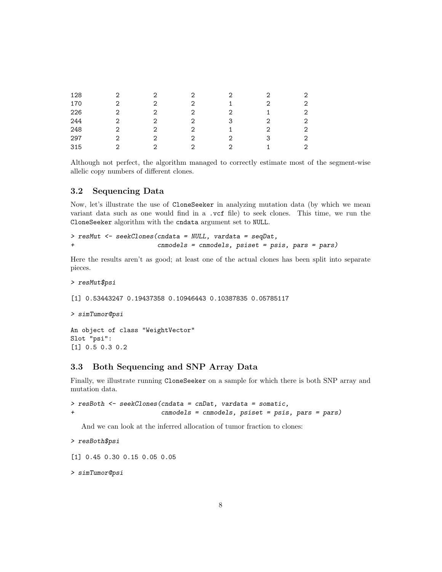| 128 | ∩ |   | റ | ◠ | റ |              |
|-----|---|---|---|---|---|--------------|
| 170 | 2 |   | っ |   | っ | $\mathbf{2}$ |
| 226 | 2 |   |   |   |   | 2            |
| 244 | 2 | 2 | っ | 3 | 2 | 2            |
| 248 | 2 | 2 | າ |   | ◠ | 2            |
| 297 | 2 | 2 | റ | ာ | 3 | 2            |
| 315 | っ |   | റ | ⌒ |   | 2            |

Although not perfect, the algorithm managed to correctly estimate most of the segment-wise allelic copy numbers of different clones.

#### 3.2 Sequencing Data

Now, let's illustrate the use of CloneSeeker in analyzing mutation data (by which we mean variant data such as one would find in a .vcf file) to seek clones. This time, we run the CloneSeeker algorithm with the cndata argument set to NULL.

```
> resMut <- seekClones(cndata = NULL, vardata = seqDat,
+ cnmodels = cnmodels, psiset = psis, pars = pars)
```
Here the results aren't as good; at least one of the actual clones has been split into separate pieces.

> resMut\$psi

[1] 0.53443247 0.19437358 0.10946443 0.10387835 0.05785117

> simTumor@psi

```
An object of class "WeightVector"
Slot "psi":
[1] 0.5 0.3 0.2
```
#### 3.3 Both Sequencing and SNP Array Data

Finally, we illustrate running CloneSeeker on a sample for which there is both SNP array and mutation data.

```
> resBoth <- seekClones(cndata = cnDat, vardata = somatic,
+ cnmodels = cnmodels, psiset = psis, pars = pars)
```
And we can look at the inferred allocation of tumor fraction to clones:

```
> resBoth$psi
```
[1] 0.45 0.30 0.15 0.05 0.05

> simTumor@psi